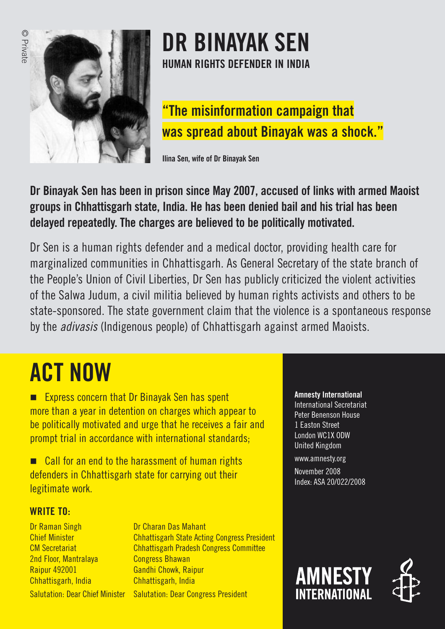

# **DR BINAYAK SEN HUMAN RIGHTS DEFENDER IN INDIA**

## **"The misinformation campaign that was spread about Binayak was a shock."**

Ilina Sen, wife of Dr Binayak Sen

### **Dr Binayak Sen has been in prison since May 2007, accused of links with armed Maoist groups in Chhattisgarh state, India. He has been denied bail and his trial has been delayed repeatedly. The charges are believed to be politically motivated.**

Dr Sen is a human rights defender and a medical doctor, providing health care for marginalized communities in Chhattisgarh. As General Secretary of the state branch of the People's Union of Civil Liberties, Dr Sen has publicly criticized the violent activities of the Salwa Judum, a civil militia believed by human rights activists and others to be state-sponsored. The state government claim that the violence is a spontaneous response by the adivasis (Indigenous people) of Chhattisgarh against armed Maoists.

# **ACT NOW**

-**Express concern that Dr Binayak Sen has spent** more than a year in detention on charges which appear to be politically motivated and urge that he receives a fair and prompt trial in accordance with international standards;

■ Call for an end to the harassment of human rights defenders in Chhattisgarh state for carrying out their legitimate work.

### WRITE TO:

Dr Raman Singh Chief Minister CM Secretariat 2nd Floor, Mantralaya Raipur 492001 Chhattisgarh, India Salutation: Dear Chief Minister

Dr Charan Das Mahant Chhattisgarh State Acting Congress President Chhattisgarh Pradesh Congress Committee Congress Bhawan Gandhi Chowk, Raipur Chhattisgarh, India **Salutation: Dear Congress President** 

#### **Amnesty International**

International Secretariat Peter Benenson House 1 Easton Street London WC1X ODW United Kingdom

www.amnesty.org November 2008 Index: ASA 20/022/2008